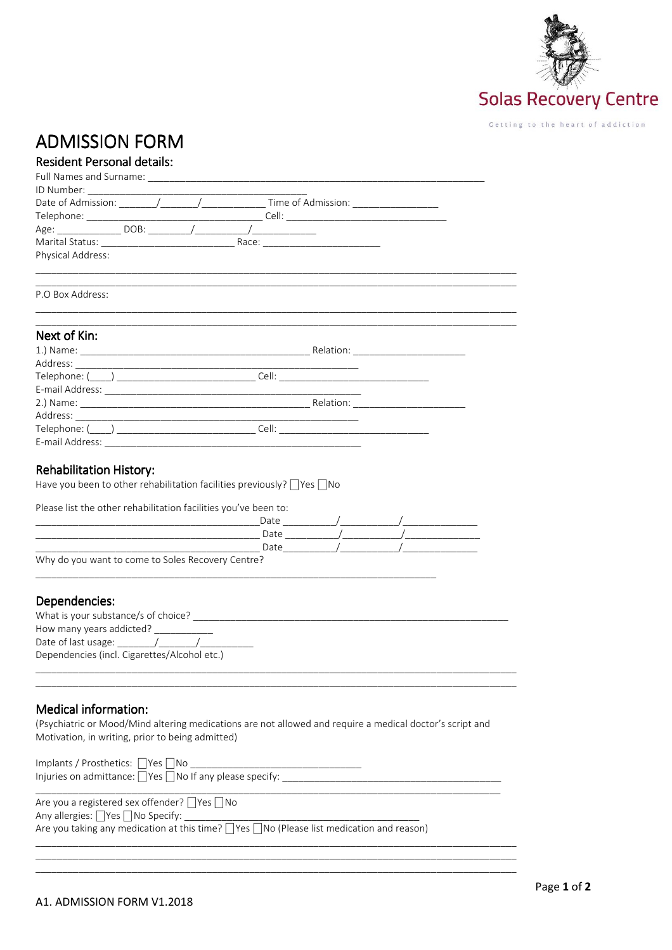

## **ADMISSION FORM**

## **Resident Personal details:**

| Physical Address:                                                                                                                                                                                                              |  |                                                                                                                                                                                                                                                                                                                                                                    |  |
|--------------------------------------------------------------------------------------------------------------------------------------------------------------------------------------------------------------------------------|--|--------------------------------------------------------------------------------------------------------------------------------------------------------------------------------------------------------------------------------------------------------------------------------------------------------------------------------------------------------------------|--|
|                                                                                                                                                                                                                                |  |                                                                                                                                                                                                                                                                                                                                                                    |  |
| P.O Box Address:                                                                                                                                                                                                               |  |                                                                                                                                                                                                                                                                                                                                                                    |  |
| Next of Kin:                                                                                                                                                                                                                   |  |                                                                                                                                                                                                                                                                                                                                                                    |  |
|                                                                                                                                                                                                                                |  |                                                                                                                                                                                                                                                                                                                                                                    |  |
|                                                                                                                                                                                                                                |  |                                                                                                                                                                                                                                                                                                                                                                    |  |
| Telephone: (\com/) \\ \lead_{\left(\com/)}} \\ \lead_{\left(\com/)}} \\ \lead_{\left(\com/)}} \\ \lead_{\left(\com/)}} \ \lead_{\left(\com/)}} \ \lead_{\left(\com/)}} \ \lead_{\left(\com/)}} \ \lead_{\left(\com/)}} \ \lead |  |                                                                                                                                                                                                                                                                                                                                                                    |  |
|                                                                                                                                                                                                                                |  |                                                                                                                                                                                                                                                                                                                                                                    |  |
|                                                                                                                                                                                                                                |  |                                                                                                                                                                                                                                                                                                                                                                    |  |
|                                                                                                                                                                                                                                |  |                                                                                                                                                                                                                                                                                                                                                                    |  |
| Telephone: (\com/) \\ \lead_{\lampmatrix}\info@_{\lampmatrix}\info@_{\lampmatrix}\info@_{\lampmatrix}\info@_{\lampmatrix}\info@_{\lampmatrix}\info@_{\lampmatrix}\info@_{\lampmatrix}\info@_{\lampmatrix}\info@_{\lampmatrix}\ |  |                                                                                                                                                                                                                                                                                                                                                                    |  |
|                                                                                                                                                                                                                                |  |                                                                                                                                                                                                                                                                                                                                                                    |  |
|                                                                                                                                                                                                                                |  |                                                                                                                                                                                                                                                                                                                                                                    |  |
| Rehabilitation History:                                                                                                                                                                                                        |  |                                                                                                                                                                                                                                                                                                                                                                    |  |
| Have you been to other rehabilitation facilities previously?  Yes   No                                                                                                                                                         |  |                                                                                                                                                                                                                                                                                                                                                                    |  |
|                                                                                                                                                                                                                                |  |                                                                                                                                                                                                                                                                                                                                                                    |  |
| Please list the other rehabilitation facilities you've been to:                                                                                                                                                                |  |                                                                                                                                                                                                                                                                                                                                                                    |  |
|                                                                                                                                                                                                                                |  |                                                                                                                                                                                                                                                                                                                                                                    |  |
|                                                                                                                                                                                                                                |  |                                                                                                                                                                                                                                                                                                                                                                    |  |
|                                                                                                                                                                                                                                |  | $\begin{picture}(180,10) \put(0,0){\vector(1,0){100}} \put(15,0){\vector(1,0){100}} \put(15,0){\vector(1,0){100}} \put(15,0){\vector(1,0){100}} \put(15,0){\vector(1,0){100}} \put(15,0){\vector(1,0){100}} \put(15,0){\vector(1,0){100}} \put(15,0){\vector(1,0){100}} \put(15,0){\vector(1,0){100}} \put(15,0){\vector(1,0){100}} \put(15,0){\vector(1,0){100}}$ |  |
| Why do you want to come to Soles Recovery Centre?                                                                                                                                                                              |  |                                                                                                                                                                                                                                                                                                                                                                    |  |
|                                                                                                                                                                                                                                |  |                                                                                                                                                                                                                                                                                                                                                                    |  |
| Dependencies:                                                                                                                                                                                                                  |  |                                                                                                                                                                                                                                                                                                                                                                    |  |
|                                                                                                                                                                                                                                |  |                                                                                                                                                                                                                                                                                                                                                                    |  |
| How many years addicted? ____________                                                                                                                                                                                          |  |                                                                                                                                                                                                                                                                                                                                                                    |  |
|                                                                                                                                                                                                                                |  |                                                                                                                                                                                                                                                                                                                                                                    |  |
| Dependencies (incl. Cigarettes/Alcohol etc.)                                                                                                                                                                                   |  |                                                                                                                                                                                                                                                                                                                                                                    |  |
|                                                                                                                                                                                                                                |  |                                                                                                                                                                                                                                                                                                                                                                    |  |

## Medical information:

| (Psychiatric or Mood/Mind altering medications are not allowed and require a medical doctor's script and |  |
|----------------------------------------------------------------------------------------------------------|--|
| Motivation, in writing, prior to being admitted)                                                         |  |

| Implants / Prosthetics: $\bigcap$ Yes $\bigcap$ No<br>Injuries on admittance: $\Box$ Yes $\Box$ No If any please specify: |  |
|---------------------------------------------------------------------------------------------------------------------------|--|
| Are you a registered sex offender? $\Box$ Yes $\Box$ No                                                                   |  |

Any allergies:  $\Box$  Yes  $\Box$  No Specify:  $\_$ Are you taking any medication at this time?  $\sqrt{2}$ Yes  $\sqrt{2}$ No (Please list medication and reason)